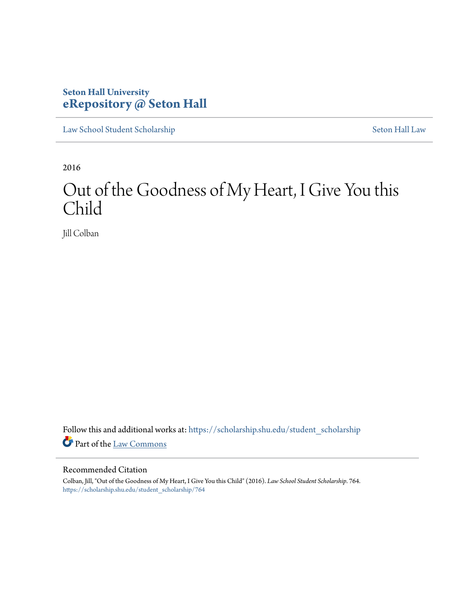# **Seton Hall University [eRepository @ Seton Hall](https://scholarship.shu.edu?utm_source=scholarship.shu.edu%2Fstudent_scholarship%2F764&utm_medium=PDF&utm_campaign=PDFCoverPages)**

[Law School Student Scholarship](https://scholarship.shu.edu/student_scholarship?utm_source=scholarship.shu.edu%2Fstudent_scholarship%2F764&utm_medium=PDF&utm_campaign=PDFCoverPages) [Seton Hall Law](https://scholarship.shu.edu/law?utm_source=scholarship.shu.edu%2Fstudent_scholarship%2F764&utm_medium=PDF&utm_campaign=PDFCoverPages)

2016

# Out of the Goodness of My Heart, I Give You this Child

Jill Colban

Follow this and additional works at: [https://scholarship.shu.edu/student\\_scholarship](https://scholarship.shu.edu/student_scholarship?utm_source=scholarship.shu.edu%2Fstudent_scholarship%2F764&utm_medium=PDF&utm_campaign=PDFCoverPages) Part of the [Law Commons](http://network.bepress.com/hgg/discipline/578?utm_source=scholarship.shu.edu%2Fstudent_scholarship%2F764&utm_medium=PDF&utm_campaign=PDFCoverPages)

# Recommended Citation

Colban, Jill, "Out of the Goodness of My Heart, I Give You this Child" (2016). *Law School Student Scholarship*. 764. [https://scholarship.shu.edu/student\\_scholarship/764](https://scholarship.shu.edu/student_scholarship/764?utm_source=scholarship.shu.edu%2Fstudent_scholarship%2F764&utm_medium=PDF&utm_campaign=PDFCoverPages)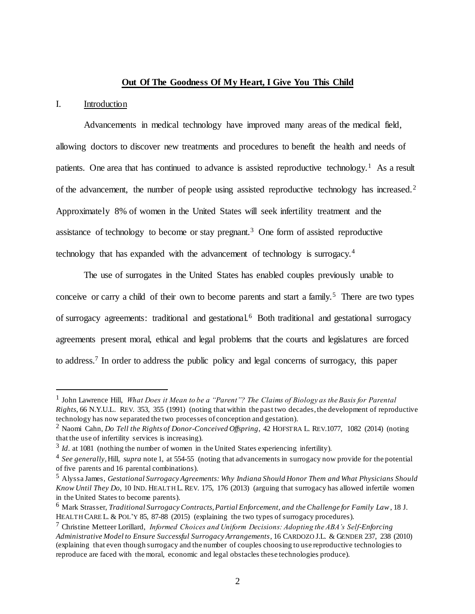# **Out Of The Goodness Of My Heart, I Give You This Child**

# I. Introduction

 $\overline{a}$ 

Advancements in medical technology have improved many areas of the medical field, allowing doctors to discover new treatments and procedures to benefit the health and needs of patients. One area that has continued to advance is assisted reproductive technology.<sup>1</sup> As a result of the advancement, the number of people using assisted reproductive technology has increased.<sup>2</sup> Approximately 8% of women in the United States will seek infertility treatment and the assistance of technology to become or stay pregnant.<sup>3</sup> One form of assisted reproductive technology that has expanded with the advancement of technology is surrogacy.<sup>4</sup>

The use of surrogates in the United States has enabled couples previously unable to conceive or carry a child of their own to become parents and start a family.<sup>5</sup> There are two types of surrogacy agreements: traditional and gestational.<sup>6</sup> Both traditional and gestational surrogacy agreements present moral, ethical and legal problems that the courts and legislatures are forced to address.<sup>7</sup> In order to address the public policy and legal concerns of surrogacy, this paper

<sup>&</sup>lt;sup>1</sup> John Lawrence Hill, *What Does it Mean to be a "Parent"? The Claims of Biology as the Basis for Parental Rights*, 66 N.Y.U.L. REV. 353, 355 (1991) (noting that within the past two decades, the development of reproductive technology has now separated the two processes of conception and gestation).

<sup>2</sup> Naomi Cahn, *Do Tell the Rights of Donor-Conceived Offspring*, 42 HOFSTRA L. REV.1077, 1082 (2014) (noting that the use of infertility services is increasing).

 $3$  *Id*. at 1081 (nothing the number of women in the United States experiencing infertility).

<sup>4</sup> *See generally*, Hill, *supra* note 1, at 554-55 (noting that advancements in surrogacy now provide for the potential of five parents and 16 parental combinations).

<sup>5</sup> Alyssa James, *Gestational Surrogacy Agreements: Why Indiana Should Honor Them and What Physicians Should Know Until They Do*, 10 IND. HEALTH L. REV. 175, 176 (2013) (arguing that surrogacy has allowed infertile women in the United States to become parents).

<sup>6</sup> Mark Strasser, *Traditional Surrogacy Contracts, Partial Enforcement, and the Challenge for Family Law*, 18 J. HEALTH CARE L. & POL'Y 85, 87-88 (2015) (explaining the two types of surrogacy procedures).

<sup>7</sup> Christine Metteer Lorillard, *Informed Choices and Uniform Decisions: Adopting the ABA's Self-Enforcing Administrative Model to Ensure Successful Surrogacy Arrangements*, 16 CARDOZO J.L. & GENDER 237, 238 (2010) (explaining that even though surrogacy and the number of couples choosing to use reproductive technologies to reproduce are faced with the moral, economic and legal obstacles these technologies produce).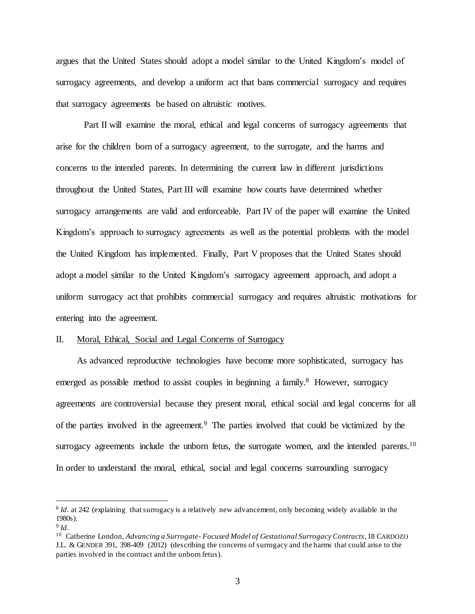argues that the United States should adopt a model similar to the United Kingdom's model of surrogacy agreements, and develop a uniform act that bans commercial surrogacy and requires that surrogacy agreements be based on altruistic motives.

Part II will examine the moral, ethical and legal concerns of surrogacy agreements that arise for the children born of a surrogacy agreement, to the surrogate, and the harms and concerns to the intended parents. In determining the current law in different jurisdictions throughout the United States, Part III will examine how courts have determined whether surrogacy arrangements are valid and enforceable. Part IV of the paper will examine the United Kingdom's approach to surrogacy agreements as well as the potential problems with the model the United Kingdom has implemented. Finally, Part V proposes that the United States should adopt a model similar to the United Kingdom's surrogacy agreement approach, and adopt a uniform surrogacy act that prohibits commercial surrogacy and requires altruistic motivations for entering into the agreement.

#### II. Moral, Ethical, Social and Legal Concerns of Surrogacy

As advanced reproductive technologies have become more sophisticated, surrogacy has emerged as possible method to assist couples in beginning a family.<sup>8</sup> However, surrogacy agreements are controversial because they present moral, ethical social and legal concerns for all of the parties involved in the agreement.<sup>9</sup> The parties involved that could be victimized by the surrogacy agreements include the unborn fetus, the surrogate women, and the intended parents.<sup>10</sup> In order to understand the moral, ethical, social and legal concerns surrounding surrogacy

<sup>8</sup> *Id*. at 242 (explaining that surrogacy is a relatively new advancement, only becoming widely available in the 1980s).

<sup>9</sup> *Id*.

<sup>10</sup> Catherine London, *Advancing a Surrogate- Focused Model of Gestational Surrogacy Contracts*, 18 CARDOZO J.L. & GENDER 391, 398-409 (2012) (describing the concerns of surrogacy and the harms that could arise to the parties involved in the contract and the unborn fetus).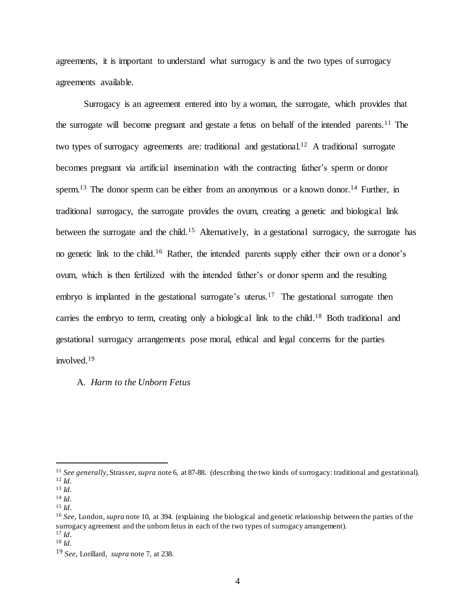agreements, it is important to understand what surrogacy is and the two types of surrogacy agreements available.

Surrogacy is an agreement entered into by a woman, the surrogate, which provides that the surrogate will become pregnant and gestate a fetus on behalf of the intended parents.<sup>11</sup> The two types of surrogacy agreements are: traditional and gestational.<sup>12</sup> A traditional surrogate becomes pregnant via artificial insemination with the contracting father's sperm or donor sperm.<sup>13</sup> The donor sperm can be either from an anonymous or a known donor.<sup>14</sup> Further, in traditional surrogacy, the surrogate provides the ovum, creating a genetic and biological link between the surrogate and the child.<sup>15</sup> Alternatively, in a gestational surrogacy, the surrogate has no genetic link to the child.<sup>16</sup> Rather, the intended parents supply either their own or a donor's ovum, which is then fertilized with the intended father's or donor sperm and the resulting embryo is implanted in the gestational surrogate's uterus.<sup>17</sup> The gestational surrogate then carries the embryo to term, creating only a biological link to the child.<sup>18</sup> Both traditional and gestational surrogacy arrangements pose moral, ethical and legal concerns for the parties involved.<sup>19</sup>

# A. *Harm to the Unborn Fetus*

<sup>11</sup> *See generally*, Strasser, *supra* note 6, at 87-88. (describing the two kinds of surrogacy: traditional and gestational). <sup>12</sup> *Id.*

<sup>13</sup> *Id.*

<sup>14</sup> *Id.*

<sup>15</sup> *Id*.

<sup>16</sup> *See*, London, *supra* note 10, at 394. (explaining the biological and genetic relationship between the parties of the surrogacy agreement and the unborn fetus in each of the two types of surrogacy arrangement). <sup>17</sup> *Id*.

<sup>18</sup> *Id.*

<sup>19</sup> *See,* Lorillard, *supra* note 7, at 238.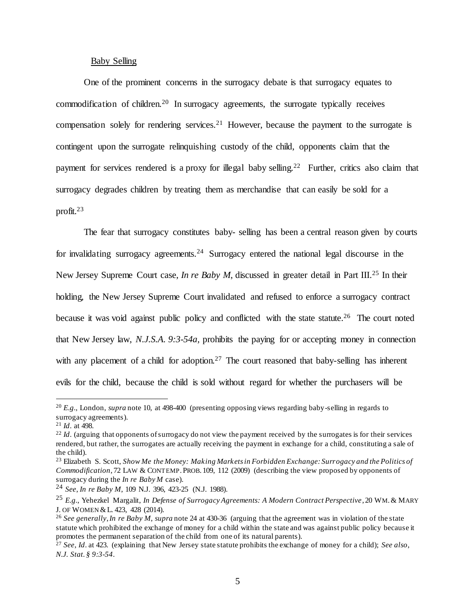# Baby Selling

One of the prominent concerns in the surrogacy debate is that surrogacy equates to commodification of children.<sup>20</sup> In surrogacy agreements, the surrogate typically receives compensation solely for rendering services.<sup>21</sup> However, because the payment to the surrogate is contingent upon the surrogate relinquishing custody of the child, opponents claim that the payment for services rendered is a proxy for illegal baby selling.<sup>22</sup> Further, critics also claim that surrogacy degrades children by treating them as merchandise that can easily be sold for a profit.<sup>23</sup>

The fear that surrogacy constitutes baby- selling has been a central reason given by courts for invalidating surrogacy agreements.<sup>24</sup> Surrogacy entered the national legal discourse in the New Jersey Supreme Court case, *In re Baby M*, discussed in greater detail in Part III.<sup>25</sup> In their holding, the New Jersey Supreme Court invalidated and refused to enforce a surrogacy contract because it was void against public policy and conflicted with the state statute.<sup>26</sup> The court noted that New Jersey law, *N.J.S.A. 9:3-54a,* prohibits the paying for or accepting money in connection with any placement of a child for adoption.<sup>27</sup> The court reasoned that baby-selling has inherent evils for the child, because the child is sold without regard for whether the purchasers will be

<sup>20</sup> *E.g.*, London, *supra* note 10, at 498-400 (presenting opposing views regarding baby-selling in regards to surrogacy agreements).

<sup>21</sup> *Id*. at 498.

<sup>&</sup>lt;sup>22</sup> *Id*. (arguing that opponents of surrogacy do not view the payment received by the surrogates is for their services rendered, but rather, the surrogates are actually receiving the payment in exchange for a child, constituting a sale of the child).

<sup>23</sup> Elizabeth S. Scott, *Show Me the Money: Making Markets in Forbidden Exchange: Surrogacy and the Politics of Commodification*, 72 LAW & CONTEMP.PROB. 109, 112 (2009) (describing the view proposed by opponents of surrogacy during the *In re Baby M* case).

<sup>24</sup> *See*, *In re Baby M*, 109 N.J. 396, 423-25 (N.J. 1988).

<sup>25</sup> *E.g.*, Yehezkel Margalit, *In Defense of Surrogacy Agreements: A Modern Contract Perspective*, 20 WM.& MARY J. OF WOMEN &L. 423, 428 (2014).

<sup>26</sup> *See generally*, *In re Baby M*, *supra* note 24 at 430-36 (arguing that the agreement was in violation of the state statute which prohibited the exchange of money for a child within the state and was against public policy because it promotes the permanent separation of the child from one of its natural parents).

<sup>27</sup> *See*, *Id*. at 423. (explaining that New Jersey state statute prohibits the exchange of money for a child); *See also*, *N.J. Stat. § 9:3-54*.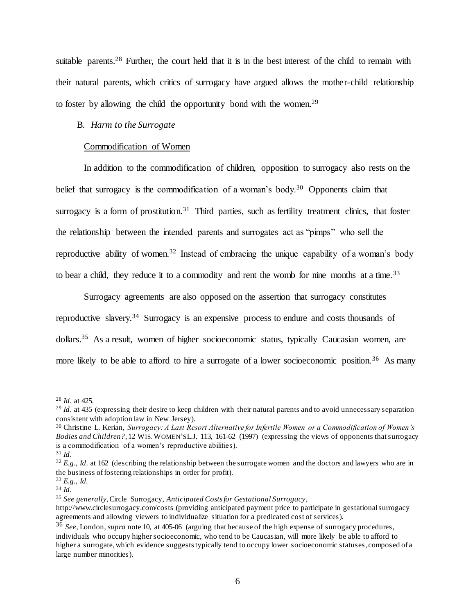suitable parents.<sup>28</sup> Further, the court held that it is in the best interest of the child to remain with their natural parents, which critics of surrogacy have argued allows the mother-child relationship to foster by allowing the child the opportunity bond with the women.<sup>29</sup>

# B. *Harm to the Surrogate*

# Commodification of Women

In addition to the commodification of children, opposition to surrogacy also rests on the belief that surrogacy is the commodification of a woman's body.<sup>30</sup> Opponents claim that surrogacy is a form of prostitution.<sup>31</sup> Third parties, such as fertility treatment clinics, that foster the relationship between the intended parents and surrogates act as "pimps" who sell the reproductive ability of women.<sup>32</sup> Instead of embracing the unique capability of a woman's body to bear a child, they reduce it to a commodity and rent the womb for nine months at a time.<sup>33</sup>

Surrogacy agreements are also opposed on the assertion that surrogacy constitutes reproductive slavery.<sup>34</sup> Surrogacy is an expensive process to endure and costs thousands of dollars.<sup>35</sup> As a result, women of higher socioeconomic status, typically Caucasian women, are more likely to be able to afford to hire a surrogate of a lower socioeconomic position.<sup>36</sup> As many

<sup>28</sup> *Id*. at 425.

<sup>&</sup>lt;sup>29</sup> *Id.* at 435 (expressing their desire to keep children with their natural parents and to avoid unnecessary separation consistent with adoption law in New Jersey).

<sup>30</sup> Christine L. Kerian, *Surrogacy: A Last Resort Alternative for Infertile Women or a Commodification of Women's Bodies and Children?*, 12 WIS. WOMEN'S L.J. 113, 161-62 (1997) (expressing the views of opponents that surrogacy is a commodification of a women's reproductive abilities).

<sup>31</sup> *Id*.

<sup>&</sup>lt;sup>32</sup> *E.g.*, *Id.* at 162 (describing the relationship between the surrogate women and the doctors and lawyers who are in the business of fostering relationships in order for profit).

<sup>33</sup> *E.g.*, *Id.*

<sup>34</sup> *Id*.

<sup>35</sup> *See generally*, Circle Surrogacy, *Anticipated Costs for Gestational Surrogacy*,

http://www.circlesurrogacy.com/costs (providing anticipated payment price to participate in gestational surrogacy agreements and allowing viewers to individualize situation for a predicated cost of services).

<sup>36</sup> *See*, London, *supra* note 10, at 405-06 (arguing that because of the high expense of surrogacy procedures, individuals who occupy higher socioeconomic, who tend to be Caucasian, will more likely be able to afford to higher a surrogate, which evidence suggests typically tend to occupy lower socioeconomic statuses, composed of a large number minorities).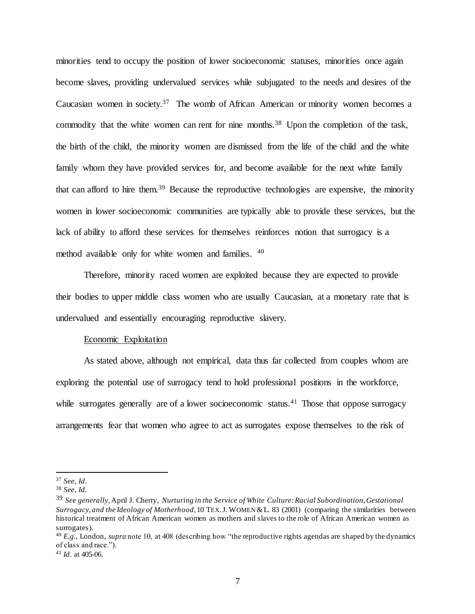minorities tend to occupy the position of lower socioeconomic statuses, minorities once again become slaves, providing undervalued services while subjugated to the needs and desires of the Caucasian women in society.<sup>37</sup> The womb of African American or minority women becomes a commodity that the white women can rent for nine months.<sup>38</sup> Upon the completion of the task, the birth of the child, the minority women are dismissed from the life of the child and the white family whom they have provided services for, and become available for the next white family that can afford to hire them.<sup>39</sup> Because the reproductive technologies are expensive, the minority women in lower socioeconomic communities are typically able to provide these services, but the lack of ability to afford these services for themselves reinforces notion that surrogacy is a method available only for white women and families. <sup>40</sup>

Therefore, minority raced women are exploited because they are expected to provide their bodies to upper middle class women who are usually Caucasian, at a monetary rate that is undervalued and essentially encouraging reproductive slavery.

#### Economic Exploitation

As stated above, although not empirical, data thus far collected from couples whom are exploring the potential use of surrogacy tend to hold professional positions in the workforce, while surrogates generally are of a lower socioeconomic status.<sup>41</sup> Those that oppose surrogacy arrangements fear that women who agree to act as surrogates expose themselves to the risk of

<sup>37</sup> *See*, *Id*.

<sup>38</sup> *See*, *Id*.

<sup>39</sup> *See generally,* April J. Cherry, *Nurturing in the Service of White Culture: Racial Subordination, Gestational Surrogacy, and the Ideology of Motherhood*, 10 TEX.J. WOMEN &L. 83 (2001) (comparing the similarities between historical treatment of African American women as mothers and slaves to the role of African American women as surrogates).

<sup>40</sup> *E.g.*, London, *supra* note 10, at 408 (describing how "the reproductive rights agendas are shaped by the dynamics of class and race.").

<sup>41</sup> *Id*. at 405-06.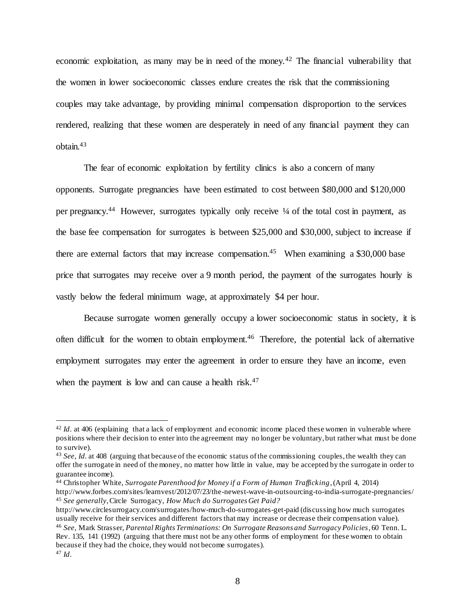economic exploitation, as many may be in need of the money.<sup>42</sup> The financial vulnerability that the women in lower socioeconomic classes endure creates the risk that the commissioning couples may take advantage, by providing minimal compensation disproportion to the services rendered, realizing that these women are desperately in need of any financial payment they can obtain.<sup>43</sup>

The fear of economic exploitation by fertility clinics is also a concern of many opponents. Surrogate pregnancies have been estimated to cost between \$80,000 and \$120,000 per pregnancy.<sup>44</sup> However, surrogates typically only receive 1/4 of the total cost in payment, as the base fee compensation for surrogates is between \$25,000 and \$30,000, subject to increase if there are external factors that may increase compensation.<sup>45</sup> When examining a \$30,000 base price that surrogates may receive over a 9 month period, the payment of the surrogates hourly is vastly below the federal minimum wage, at approximately \$4 per hour.

Because surrogate women generally occupy a lower socioeconomic status in society, it is often difficult for the women to obtain employment.<sup>46</sup> Therefore, the potential lack of alternative employment surrogates may enter the agreement in order to ensure they have an income, even when the payment is low and can cause a health risk.<sup>47</sup>

<sup>&</sup>lt;sup>42</sup> *Id.* at 406 (explaining that a lack of employment and economic income placed these women in vulnerable where positions where their decision to enter into the agreement may no longer be voluntary, but rather what must be done to survive).

<sup>43</sup> *See*, *Id.* at 408 (arguing that because of the economic status of the commissioning couples, the wealth they can offer the surrogate in need of the money, no matter how little in value, may be accepted by the surrogate in order to guarantee income).

<sup>44</sup> Christopher White, *Surrogate Parenthood for Money if a Form of Human Trafficking*, (April 4, 2014) http://www.forbes.com/sites/learnvest/2012/07/23/the-newest-wave-in-outsourcing-to-india-surrogate-pregnancies/ <sup>45</sup> *See generally*, Circle Surrogacy, *How Much do Surrogates Get Paid?* 

http://www.circlesurrogacy.com/surrogates/how-much-do-surrogates-get-paid (discussing how much surrogates usually receive for their services and different factors that may increase or decrease their compensation value). <sup>46</sup> *See*, Mark Strasser, *Parental Rights Terminations: On Surrogate Reasons and Surrogacy Policies*, 60 Tenn. L. Rev. 135, 141 (1992) (arguing that there must not be any other forms of employment for these women to obtain because if they had the choice, they would not become surrogates). <sup>47</sup> *Id*.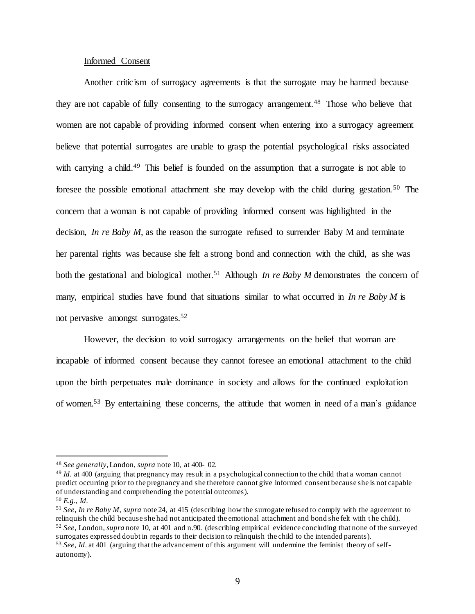# Informed Consent

Another criticism of surrogacy agreements is that the surrogate may be harmed because they are not capable of fully consenting to the surrogacy arrangement.<sup>48</sup> Those who believe that women are not capable of providing informed consent when entering into a surrogacy agreement believe that potential surrogates are unable to grasp the potential psychological risks associated with carrying a child.<sup>49</sup> This belief is founded on the assumption that a surrogate is not able to foresee the possible emotional attachment she may develop with the child during gestation.<sup>50</sup> The concern that a woman is not capable of providing informed consent was highlighted in the decision, *In re Baby M*, as the reason the surrogate refused to surrender Baby M and terminate her parental rights was because she felt a strong bond and connection with the child, as she was both the gestational and biological mother.<sup>51</sup> Although *In re Baby M* demonstrates the concern of many, empirical studies have found that situations similar to what occurred in *In re Baby M* is not pervasive amongst surrogates.<sup>52</sup>

However, the decision to void surrogacy arrangements on the belief that woman are incapable of informed consent because they cannot foresee an emotional attachment to the child upon the birth perpetuates male dominance in society and allows for the continued exploitation of women.<sup>53</sup> By entertaining these concerns, the attitude that women in need of a man's guidance

<sup>48</sup> *See generally*, London, *supra* note 10, at 400- 02.

<sup>49</sup> *Id*. at 400 (arguing that pregnancy may result in a psychological connection to the child that a woman cannot predict occurring prior to the pregnancy and she therefore cannot give informed consent because she is not capable of understanding and comprehending the potential outcomes).

<sup>50</sup> *E.g.*, *Id*.

<sup>51</sup> *See, In re Baby M*, *supra* note 24, at 415 (describing how the surrogate refused to comply with the agreement to relinquish the child because she had not anticipated the emotional attachment and bond she felt with t he child). <sup>52</sup> *See*, London, *supra* note 10, at 401 and n.90. (describing empirical evidence concluding that none of the surveyed surrogates expressed doubt in regards to their decision to relinquish the child to the intended parents).

<sup>53</sup> *See*, *Id*. at 401 (arguing that the advancement of this argument will undermine the feminist theory of selfautonomy).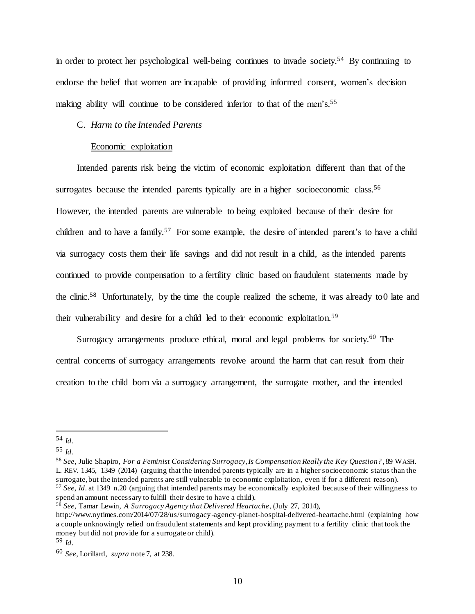in order to protect her psychological well-being continues to invade society.<sup>54</sup> By continuing to endorse the belief that women are incapable of providing informed consent, women's decision making ability will continue to be considered inferior to that of the men's.<sup>55</sup>

# C. *Harm to the Intended Parents*

#### Economic exploitation

Intended parents risk being the victim of economic exploitation different than that of the surrogates because the intended parents typically are in a higher socioeconomic class.<sup>56</sup> However, the intended parents are vulnerable to being exploited because of their desire for children and to have a family.<sup>57</sup> For some example, the desire of intended parent's to have a child via surrogacy costs them their life savings and did not result in a child, as the intended parents continued to provide compensation to a fertility clinic based on fraudulent statements made by the clinic.<sup>58</sup> Unfortunately, by the time the couple realized the scheme, it was already to 0 late and their vulnerability and desire for a child led to their economic exploitation.<sup>59</sup>

Surrogacy arrangements produce ethical, moral and legal problems for society.<sup>60</sup> The central concerns of surrogacy arrangements revolve around the harm that can result from their creation to the child born via a surrogacy arrangement, the surrogate mother, and the intended

 $\overline{a}$ 

<sup>56</sup> *See*, Julie Shapiro, *For a Feminist Considering Surrogacy, Is Compensation Really the Key Question?* , 89 WASH. L. REV. 1345, 1349 (2014) (arguing that the intended parents typically are in a higher socioeconomic status than the surrogate, but the intended parents are still vulnerable to economic exploitation, even if for a different reason). <sup>57</sup> *See*, *Id*. at 1349 n.20 (arguing that intended parents may be economically exploited because of their willingness to spend an amount necessary to fulfill their desire to have a child).

<sup>54</sup> *Id.*

<sup>55</sup> *Id.*

<sup>58</sup> *See*, Tamar Lewin, *A Surrogacy Agency that Delivered Heartache*, (July 27, 2014),

http://www.nytimes.com/2014/07/28/us/surrogacy-agency-planet-hospital-delivered-heartache.html (explaining how a couple unknowingly relied on fraudulent statements and kept providing payment to a fertility clinic that took the money but did not provide for a surrogate or child).

<sup>59</sup> *Id*.

<sup>60</sup> *See*, Lorillard, *supra* note 7, at 238.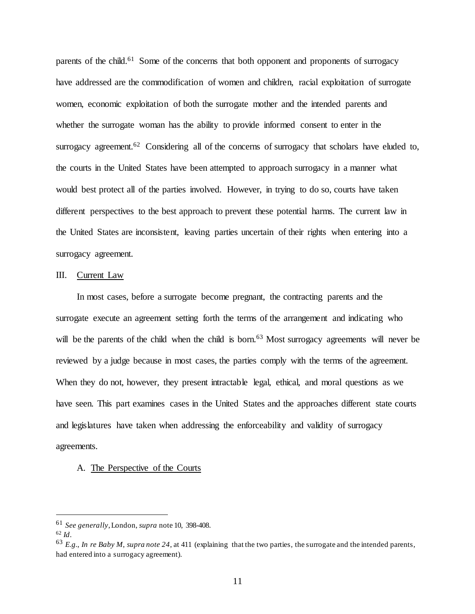parents of the child.<sup>61</sup> Some of the concerns that both opponent and proponents of surrogacy have addressed are the commodification of women and children, racial exploitation of surrogate women, economic exploitation of both the surrogate mother and the intended parents and whether the surrogate woman has the ability to provide informed consent to enter in the surrogacy agreement.<sup>62</sup> Considering all of the concerns of surrogacy that scholars have eluded to, the courts in the United States have been attempted to approach surrogacy in a manner what would best protect all of the parties involved. However, in trying to do so, courts have taken different perspectives to the best approach to prevent these potential harms. The current law in the United States are inconsistent, leaving parties uncertain of their rights when entering into a surrogacy agreement.

# III. Current Law

In most cases, before a surrogate become pregnant, the contracting parents and the surrogate execute an agreement setting forth the terms of the arrangement and indicating who will be the parents of the child when the child is born.<sup>63</sup> Most surrogacy agreements will never be reviewed by a judge because in most cases, the parties comply with the terms of the agreement. When they do not, however, they present intractable legal, ethical, and moral questions as we have seen. This part examines cases in the United States and the approaches different state courts and legislatures have taken when addressing the enforceability and validity of surrogacy agreements.

# A. The Perspective of the Courts

<sup>61</sup> *See generally*, London, *supra* note 10, 398-408.

<sup>62</sup> *Id*.

<sup>63</sup> *E.g.*, *In re Baby M*, *supra note 24*, at 411 (explaining that the two parties, the surrogate and the intended parents, had entered into a surrogacy agreement).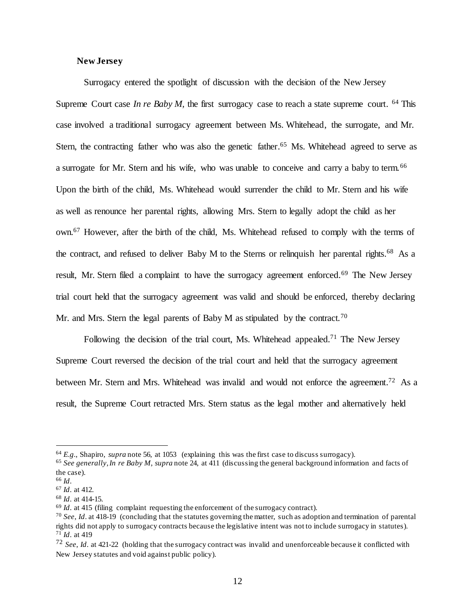# **New Jersey**

Surrogacy entered the spotlight of discussion with the decision of the New Jersey Supreme Court case *In re Baby M*, the first surrogacy case to reach a state supreme court.  $64$  This case involved a traditional surrogacy agreement between Ms. Whitehead, the surrogate, and Mr. Stern, the contracting father who was also the genetic father.<sup>65</sup> Ms. Whitehead agreed to serve as a surrogate for Mr. Stern and his wife, who was unable to conceive and carry a baby to term.<sup>66</sup> Upon the birth of the child, Ms. Whitehead would surrender the child to Mr. Stern and his wife as well as renounce her parental rights, allowing Mrs. Stern to legally adopt the child as her own.<sup>67</sup> However, after the birth of the child, Ms. Whitehead refused to comply with the terms of the contract, and refused to deliver Baby M to the Sterns or relinquish her parental rights.<sup>68</sup> As a result, Mr. Stern filed a complaint to have the surrogacy agreement enforced.<sup>69</sup> The New Jersey trial court held that the surrogacy agreement was valid and should be enforced, thereby declaring Mr. and Mrs. Stern the legal parents of Baby M as stipulated by the contract.<sup>70</sup>

Following the decision of the trial court, Ms. Whitehead appealed.<sup>71</sup> The New Jersey Supreme Court reversed the decision of the trial court and held that the surrogacy agreement between Mr. Stern and Mrs. Whitehead was invalid and would not enforce the agreement.<sup>72</sup> As a result, the Supreme Court retracted Mrs. Stern status as the legal mother and alternatively held

<sup>64</sup> *E.g.*, Shapiro, *supra* note 56, at 1053 (explaining this was the first case to discuss surrogacy).

<sup>65</sup> *See generally*, *In re Baby M*, *supra* note 24, at 411 (discussing the general background information and facts of the case).

<sup>66</sup> *Id*.

<sup>67</sup> *Id*. at 412.

<sup>68</sup> *Id*. at 414-15.

<sup>69</sup> *Id*. at 415 (filing complaint requesting the enforcement of the surrogacy contract).

<sup>70</sup> *See*, *Id*. at 418-19 (concluding that the statutes governing the matter, such as adoption and termination of parental rights did not apply to surrogacy contracts because the legislative intent was not to include surrogacy in statutes). <sup>71</sup> *Id*. at 419

<sup>72</sup> *See*, *Id*. at 421-22 (holding that the surrogacy contract was invalid and unenforceable because it conflicted with New Jersey statutes and void against public policy).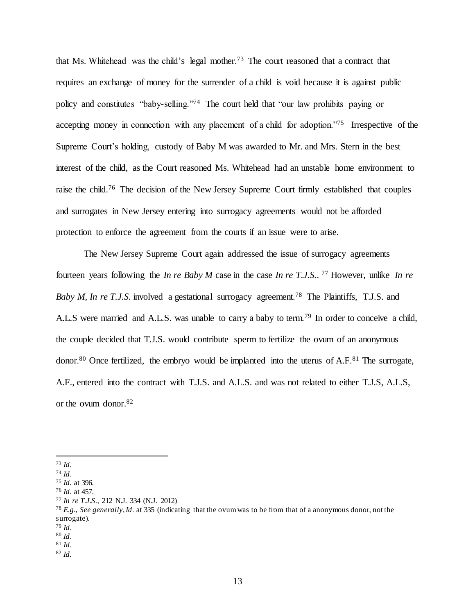that Ms. Whitehead was the child's legal mother. <sup>73</sup> The court reasoned that a contract that requires an exchange of money for the surrender of a child is void because it is against public policy and constitutes "baby-selling."<sup>74</sup> The court held that "our law prohibits paying or accepting money in connection with any placement of a child for adoption."<sup>75</sup> Irrespective of the Supreme Court's holding, custody of Baby M was awarded to Mr. and Mrs. Stern in the best interest of the child, as the Court reasoned Ms. Whitehead had an unstable home environment to raise the child.<sup>76</sup> The decision of the New Jersey Supreme Court firmly established that couples and surrogates in New Jersey entering into surrogacy agreements would not be afforded protection to enforce the agreement from the courts if an issue were to arise.

The New Jersey Supreme Court again addressed the issue of surrogacy agreements fourteen years following the *In re Baby M* case in the case *In re T.J.S.*. <sup>77</sup> However, unlike *In re Baby M, In re T.J.S.* involved a gestational surrogacy agreement.<sup>78</sup> The Plaintiffs, T.J.S. and A.L.S were married and A.L.S. was unable to carry a baby to term.<sup>79</sup> In order to conceive a child, the couple decided that T.J.S. would contribute sperm to fertilize the ovum of an anonymous donor.<sup>80</sup> Once fertilized, the embryo would be implanted into the uterus of  $A.F.^81$ . The surrogate, A.F., entered into the contract with T.J.S. and A.L.S. and was not related to either T.J.S, A.L.S, or the ovum donor. 82

 $\overline{a}$ 

<sup>77</sup> *In re T.J.S.*, 212 N.J. 334 (N.J. 2012)

<sup>73</sup> *Id*.

<sup>74</sup> *Id*.

<sup>75</sup> *Id.* at 396.

<sup>76</sup> *Id*. at 457.

<sup>78</sup> *E.g.*, *See generally*, *Id*. at 335 (indicating that the ovum was to be from that of a anonymous donor, not the surrogate).

<sup>79</sup> *Id*.

<sup>80</sup> *Id*. <sup>81</sup> *Id*.

<sup>82</sup> *Id.*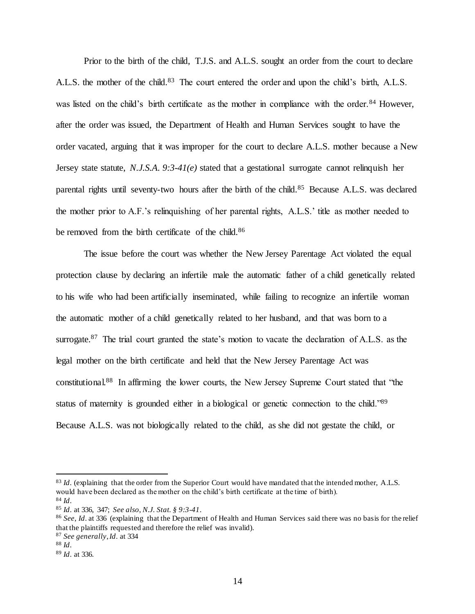Prior to the birth of the child, T.J.S. and A.L.S. sought an order from the court to declare A.L.S. the mother of the child.<sup>83</sup> The court entered the order and upon the child's birth, A.L.S. was listed on the child's birth certificate as the mother in compliance with the order.<sup>84</sup> However, after the order was issued, the Department of Health and Human Services sought to have the order vacated, arguing that it was improper for the court to declare A.L.S. mother because a New Jersey state statute, *N.J.S.A. 9:3-41(e)* stated that a gestational surrogate cannot relinquish her parental rights until seventy-two hours after the birth of the child.<sup>85</sup> Because A.L.S. was declared the mother prior to A.F.'s relinquishing of her parental rights, A.L.S.' title as mother needed to be removed from the birth certificate of the child.<sup>86</sup>

The issue before the court was whether the New Jersey Parentage Act violated the equal protection clause by declaring an infertile male the automatic father of a child genetically related to his wife who had been artificially inseminated, while failing to recognize an infertile woman the automatic mother of a child genetically related to her husband, and that was born to a surrogate.<sup>87</sup> The trial court granted the state's motion to vacate the declaration of A.L.S. as the legal mother on the birth certificate and held that the New Jersey Parentage Act was constitutional.<sup>88</sup> In affirming the lower courts, the New Jersey Supreme Court stated that "the status of maternity is grounded either in a biological or genetic connection to the child."<sup>89</sup> Because A.L.S. was not biologically related to the child, as she did not gestate the child, or

<sup>&</sup>lt;sup>83</sup> *Id.* (explaining that the order from the Superior Court would have mandated that the intended mother, A.L.S. would have been declared as the mother on the child's birth certificate at the time of birth). <sup>84</sup> *Id*.

<sup>85</sup> *Id*. at 336, 347; *See also*, *N.J. Stat. § 9:3-41*.

<sup>86</sup> *See*, *Id*. at 336 (explaining that the Department of Health and Human Services said there was no basis for the relief that the plaintiffs requested and therefore the relief was invalid).

<sup>87</sup> *See generally*, *Id*. at 334

<sup>88</sup> *Id*.

<sup>89</sup> *Id*. at 336.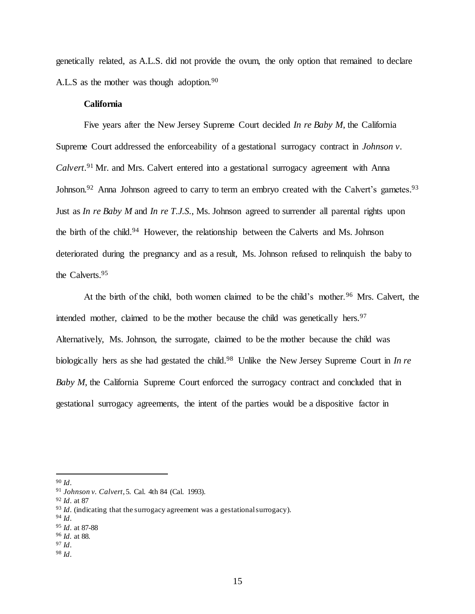genetically related, as A.L.S. did not provide the ovum, the only option that remained to declare A.L.S as the mother was though adoption.<sup>90</sup>

# **California**

Five years after the New Jersey Supreme Court decided *In re Baby M*, the California Supreme Court addressed the enforceability of a gestational surrogacy contract in *Johnson v. Calvert.*<sup>91</sup> Mr. and Mrs. Calvert entered into a gestational surrogacy agreement with Anna Johnson.<sup>92</sup> Anna Johnson agreed to carry to term an embryo created with the Calvert's gametes.<sup>93</sup> Just as *In re Baby M* and *In re T.J.S.*, Ms. Johnson agreed to surrender all parental rights upon the birth of the child.<sup>94</sup> However, the relationship between the Calverts and Ms. Johnson deteriorated during the pregnancy and as a result, Ms. Johnson refused to relinquish the baby to the Calverts.<sup>95</sup>

At the birth of the child, both women claimed to be the child's mother.<sup>96</sup> Mrs. Calvert, the intended mother, claimed to be the mother because the child was genetically hers. $97$ Alternatively, Ms. Johnson, the surrogate, claimed to be the mother because the child was biologically hers as she had gestated the child.<sup>98</sup> Unlike the New Jersey Supreme Court in *In re Baby M*, the California Supreme Court enforced the surrogacy contract and concluded that in gestational surrogacy agreements, the intent of the parties would be a dispositive factor in

l

<sup>97</sup> *Id*.

<sup>90</sup> *Id*.

<sup>91</sup> *Johnson v. Calvert*, 5. Cal. 4th 84 (Cal. 1993).

<sup>92</sup> *Id*. at 87

<sup>&</sup>lt;sup>93</sup> *Id.* (indicating that the surrogacy agreement was a gestational surrogacy).

<sup>94</sup> *Id*.

<sup>95</sup> *Id*. at 87-88

<sup>96</sup> *Id.* at 88.

<sup>98</sup> *Id*.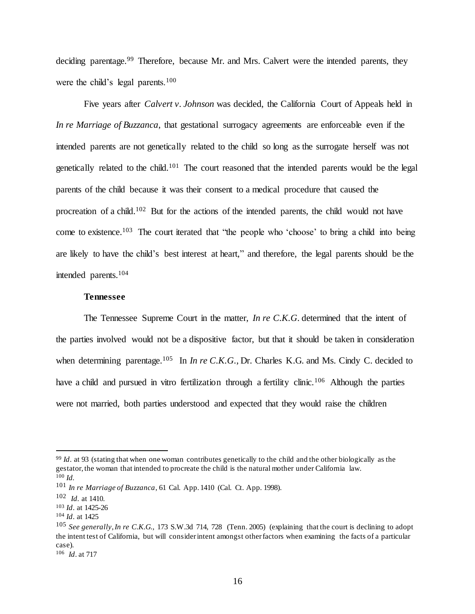deciding parentage.<sup>99</sup> Therefore, because Mr. and Mrs. Calvert were the intended parents, they were the child's legal parents.<sup>100</sup>

Five years after *Calvert v. Johnson* was decided, the California Court of Appeals held in *In re Marriage of Buzzanca*, that gestational surrogacy agreements are enforceable even if the intended parents are not genetically related to the child so long as the surrogate herself was not genetically related to the child.<sup>101</sup> The court reasoned that the intended parents would be the legal parents of the child because it was their consent to a medical procedure that caused the procreation of a child.<sup>102</sup> But for the actions of the intended parents, the child would not have come to existence.<sup>103</sup> The court iterated that "the people who 'choose' to bring a child into being are likely to have the child's best interest at heart," and therefore, the legal parents should be the intended parents.<sup>104</sup>

# **Tennessee**

The Tennessee Supreme Court in the matter, *In re C.K.G.* determined that the intent of the parties involved would not be a dispositive factor, but that it should be taken in consideration when determining parentage.<sup>105</sup> In *In re C.K.G.*, Dr. Charles K.G. and Ms. Cindy C. decided to have a child and pursued in vitro fertilization through a fertility clinic.<sup>106</sup> Although the parties were not married, both parties understood and expected that they would raise the children

<sup>99</sup> *Id*. at 93 (stating that when one woman contributes genetically to the child and the other biologically as the gestator, the woman that intended to procreate the child is the natural mother under California law. <sup>100</sup> *Id.*

<sup>101</sup> *In re Marriage of Buzzanca*, 61 Cal. App. 1410 (Cal. Ct. App. 1998).

<sup>102</sup> *Id.* at 1410.

<sup>103</sup> *Id*. at 1425-26

<sup>104</sup> *Id*. at 1425

<sup>105</sup> *See generally*,*In re C.K.G.*, 173 S.W.3d 714, 728 (Tenn. 2005) (explaining that the court is declining to adopt the intent test of California, but will consider intent amongst other factors when examining the facts of a particular case).

<sup>106</sup> *Id*. at 717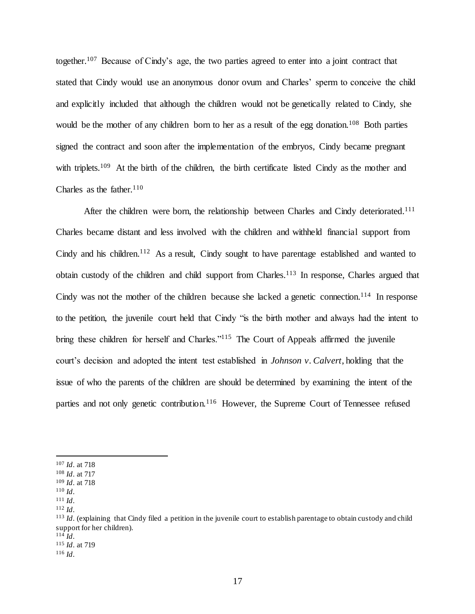together.<sup>107</sup> Because of Cindy's age, the two parties agreed to enter into a joint contract that stated that Cindy would use an anonymous donor ovum and Charles' sperm to conceive the child and explicitly included that although the children would not be genetically related to Cindy, she would be the mother of any children born to her as a result of the egg donation.<sup>108</sup> Both parties signed the contract and soon after the implementation of the embryos, Cindy became pregnant with triplets.<sup>109</sup> At the birth of the children, the birth certificate listed Cindy as the mother and Charles as the father.  $110$ 

After the children were born, the relationship between Charles and Cindy deteriorated.<sup>111</sup> Charles became distant and less involved with the children and withheld financial support from Cindy and his children.<sup>112</sup> As a result, Cindy sought to have parentage established and wanted to obtain custody of the children and child support from Charles.<sup>113</sup> In response, Charles argued that Cindy was not the mother of the children because she lacked a genetic connection.<sup>114</sup> In response to the petition, the juvenile court held that Cindy "is the birth mother and always had the intent to bring these children for herself and Charles."<sup>115</sup> The Court of Appeals affirmed the juvenile court's decision and adopted the intent test established in *Johnson v. Calvert*, holding that the issue of who the parents of the children are should be determined by examining the intent of the parties and not only genetic contribution.<sup>116</sup> However, the Supreme Court of Tennessee refused

<sup>107</sup> *Id*. at 718

<sup>108</sup> *Id*. at 717

<sup>109</sup> *Id*. at 718 <sup>110</sup> *Id*.

<sup>111</sup> *Id*.

<sup>112</sup> *Id*.

<sup>113</sup> *Id*. (explaining that Cindy filed a petition in the juvenile court to establish parentage to obtain custody and child support for her children).

<sup>114</sup> *Id*.

<sup>115</sup> *Id*. at 719

<sup>116</sup> *Id*.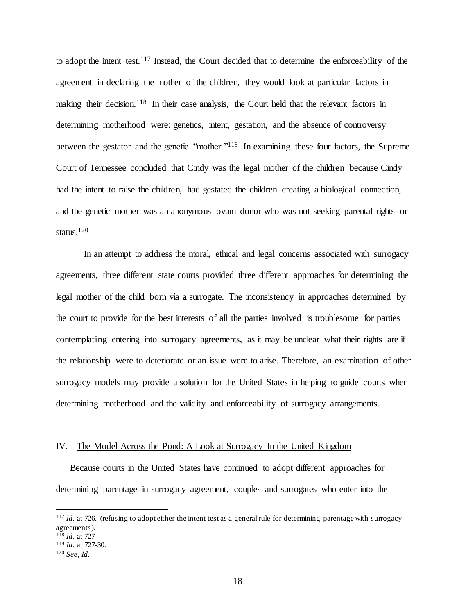to adopt the intent test.<sup>117</sup> Instead, the Court decided that to determine the enforceability of the agreement in declaring the mother of the children, they would look at particular factors in making their decision.<sup>118</sup> In their case analysis, the Court held that the relevant factors in determining motherhood were: genetics, intent, gestation, and the absence of controversy between the gestator and the genetic "mother."<sup>119</sup> In examining these four factors, the Supreme Court of Tennessee concluded that Cindy was the legal mother of the children because Cindy had the intent to raise the children, had gestated the children creating a biological connection, and the genetic mother was an anonymous ovum donor who was not seeking parental rights or status. 120

In an attempt to address the moral, ethical and legal concerns associated with surrogacy agreements, three different state courts provided three different approaches for determining the legal mother of the child born via a surrogate. The inconsistency in approaches determined by the court to provide for the best interests of all the parties involved is troublesome for parties contemplating entering into surrogacy agreements, as it may be unclear what their rights are if the relationship were to deteriorate or an issue were to arise. Therefore, an examination of other surrogacy models may provide a solution for the United States in helping to guide courts when determining motherhood and the validity and enforceability of surrogacy arrangements.

#### IV. The Model Across the Pond: A Look at Surrogacy In the United Kingdom

Because courts in the United States have continued to adopt different approaches for determining parentage in surrogacy agreement, couples and surrogates who enter into the

<sup>&</sup>lt;sup>117</sup> *Id.* at 726. (refusing to adopt either the intent test as a general rule for determining parentage with surrogacy agreements).

<sup>118</sup> *Id*. at 727

<sup>119</sup> *Id*. at 727-30.

<sup>120</sup> *See, Id*.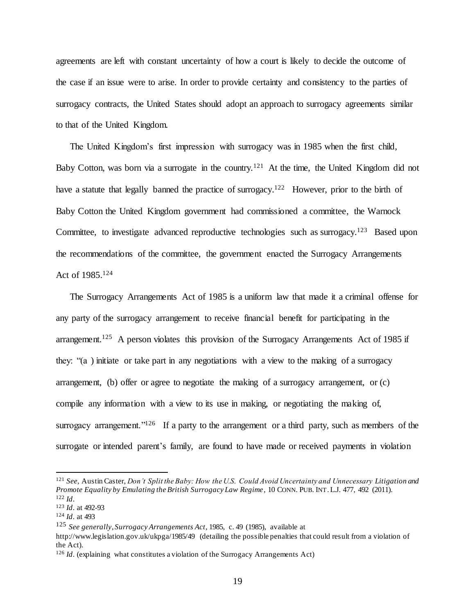agreements are left with constant uncertainty of how a court is likely to decide the outcome of the case if an issue were to arise. In order to provide certainty and consistency to the parties of surrogacy contracts, the United States should adopt an approach to surrogacy agreements similar to that of the United Kingdom.

The United Kingdom's first impression with surrogacy was in 1985 when the first child, Baby Cotton, was born via a surrogate in the country.<sup>121</sup> At the time, the United Kingdom did not have a statute that legally banned the practice of surrogacy.<sup>122</sup> However, prior to the birth of Baby Cotton the United Kingdom government had commissioned a committee, the Warnock Committee, to investigate advanced reproductive technologies such as surrogacy.<sup>123</sup> Based upon the recommendations of the committee, the government enacted the Surrogacy Arrangements Act of 1985. 124

The Surrogacy Arrangements Act of 1985 is a uniform law that made it a criminal offense for any party of the surrogacy arrangement to receive financial benefit for participating in the arrangement.<sup>125</sup> A person violates this provision of the Surrogacy Arrangements Act of 1985 if they: "(a ) initiate or take part in any negotiations with a view to the making of a surrogacy arrangement, (b) offer or agree to negotiate the making of a surrogacy arrangement, or (c) compile any information with a view to its use in making, or negotiating the making of, surrogacy arrangement." $126$  If a party to the arrangement or a third party, such as members of the surrogate or intended parent's family, are found to have made or received payments in violation

<sup>121</sup> *See*, Austin Caster, *Don't Split the Baby: How the U.S. Could Avoid Uncertainty and Unnecessary Litigation and Promote Equality by Emulating the British Surrogacy Law Regime*, 10 CONN. PUB. INT.L.J. 477, 492 (2011). <sup>122</sup> *Id*.

<sup>123</sup> *Id*. at 492-93

<sup>124</sup> *Id*. at 493

<sup>125</sup> *See generally*, *Surrogacy Arrangements Act*, 1985, c. 49 (1985), available at

http://www.legislation.gov.uk/ukpga/1985/49 (detailing the possible penalties that could result from a violation of the Act).

<sup>126</sup> *Id*. (explaining what constitutes a violation of the Surrogacy Arrangements Act)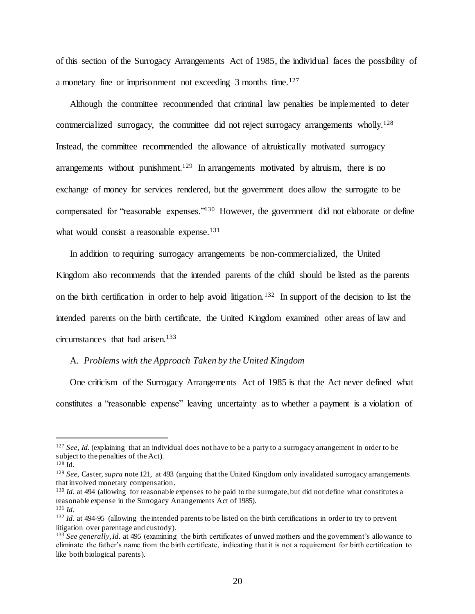of this section of the Surrogacy Arrangements Act of 1985, the individual faces the possibility of a monetary fine or imprisonment not exceeding 3 months time.<sup>127</sup>

Although the committee recommended that criminal law penalties be implemented to deter commercialized surrogacy, the committee did not reject surrogacy arrangements wholly.<sup>128</sup> Instead, the committee recommended the allowance of altruistically motivated surrogacy arrangements without punishment.<sup>129</sup> In arrangements motivated by altruism, there is no exchange of money for services rendered, but the government does allow the surrogate to be compensated for "reasonable expenses."<sup>130</sup> However, the government did not elaborate or define what would consist a reasonable expense.<sup>131</sup>

In addition to requiring surrogacy arrangements be non-commercialized, the United Kingdom also recommends that the intended parents of the child should be listed as the parents on the birth certification in order to help avoid litigation.<sup>132</sup> In support of the decision to list the intended parents on the birth certificate, the United Kingdom examined other areas of law and circumstances that had arisen.<sup>133</sup>

# A. *Problems with the Approach Taken by the United Kingdom*

One criticism of the Surrogacy Arrangements Act of 1985 is that the Act never defined what constitutes a "reasonable expense" leaving uncertainty as to whether a payment is a violation of

<sup>127</sup> *See*, *Id.* (explaining that an individual does not have to be a party to a surrogacy arrangement in order to be subject to the penalties of the Act).

<sup>128</sup> Id.

<sup>129</sup> *See*, Caster, *supra* note 121, at 493 (arguing that the United Kingdom only invalidated surrogacy arrangements that involved monetary compensation.

<sup>&</sup>lt;sup>130</sup> *Id.* at 494 (allowing for reasonable expenses to be paid to the surrogate, but did not define what constitutes a reasonable expense in the Surrogacy Arrangements Act of 1985).

<sup>131</sup> *Id*.

<sup>132</sup> *Id*. at 494-95 (allowing the intended parents to be listed on the birth certifications in order to try to prevent litigation over parentage and custody).

<sup>133</sup> *See generally*, *Id.* at 495 (examining the birth certificates of unwed mothers and the government's allowance to eliminate the father's name from the birth certificate, indicating that it is not a requirement for birth certification to like both biological parents).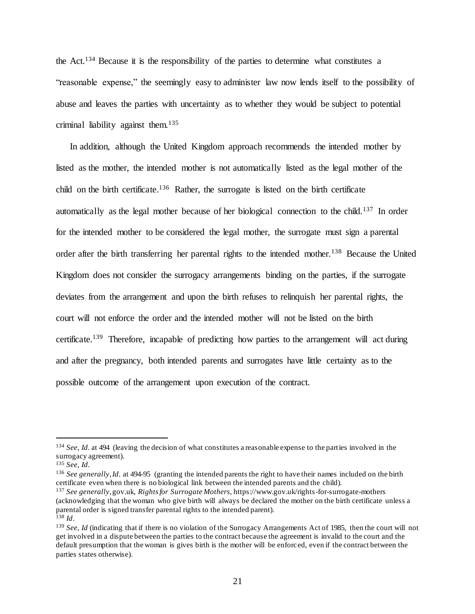the Act.<sup>134</sup> Because it is the responsibility of the parties to determine what constitutes a "reasonable expense," the seemingly easy to administer law now lends itself to the possibility of abuse and leaves the parties with uncertainty as to whether they would be subject to potential criminal liability against them.<sup>135</sup>

In addition, although the United Kingdom approach recommends the intended mother by listed as the mother, the intended mother is not automatically listed as the legal mother of the child on the birth certificate. <sup>136</sup> Rather, the surrogate is listed on the birth certificate automatically as the legal mother because of her biological connection to the child.<sup>137</sup> In order for the intended mother to be considered the legal mother, the surrogate must sign a parental order after the birth transferring her parental rights to the intended mother.<sup>138</sup> Because the United Kingdom does not consider the surrogacy arrangements binding on the parties, if the surrogate deviates from the arrangement and upon the birth refuses to relinquish her parental rights, the court will not enforce the order and the intended mother will not be listed on the birth certificate.<sup>139</sup> Therefore, incapable of predicting how parties to the arrangement will act during and after the pregnancy, both intended parents and surrogates have little certainty as to the possible outcome of the arrangement upon execution of the contract.

 $\overline{a}$ 

<sup>136</sup> *See generally*, *Id*. at 494-95 (granting the intended parents the right to have their names included on the birth certificate even when there is no biological link between the intended parents and the child).

<sup>137</sup> *See generally*, gov.uk, *Rights for Surrogate Mothers*, https://www.gov.uk/rights-for-surrogate-mothers (acknowledging that the woman who give birth will always be declared the mother on the birth certificate unless a parental order is signed transfer parental rights to the intended parent). <sup>138</sup> *Id*.

<sup>134</sup> *See*, *Id*. at 494 (leaving the decision of what constitutes a reasonable expense to the parties involved in the surrogacy agreement).

<sup>135</sup> *See*, *Id*.

<sup>139</sup> *See*, *Id* (indicating that if there is no violation of the Surrogacy Arrangements Act of 1985, then the court will not get involved in a dispute between the parties to the contract because the agreement is invalid to the court and the default presumption that the woman is gives birth is the mother will be enforced, even if the contract between the parties states otherwise).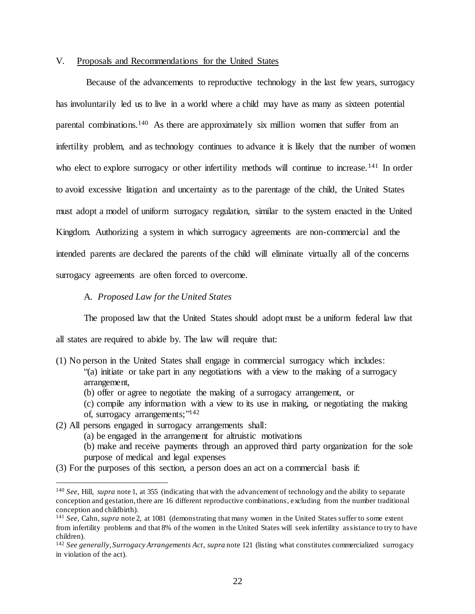# V. Proposals and Recommendations for the United States

Because of the advancements to reproductive technology in the last few years, surrogacy has involuntarily led us to live in a world where a child may have as many as sixteen potential parental combinations.<sup>140</sup> As there are approximately six million women that suffer from an infertility problem, and as technology continues to advance it is likely that the number of women who elect to explore surrogacy or other infertility methods will continue to increase.<sup>141</sup> In order to avoid excessive litigation and uncertainty as to the parentage of the child, the United States must adopt a model of uniform surrogacy regulation, similar to the system enacted in the United Kingdom. Authorizing a system in which surrogacy agreements are non-commercial and the intended parents are declared the parents of the child will eliminate virtually all of the concerns surrogacy agreements are often forced to overcome.

A. *Proposed Law for the United States*

The proposed law that the United States should adopt must be a uniform federal law that all states are required to abide by. The law will require that:

- (1) No person in the United States shall engage in commercial surrogacy which includes: "(a) initiate or take part in any negotiations with a view to the making of a surrogacy arrangement,
	- (b) offer or agree to negotiate the making of a surrogacy arrangement, or
	- (c) compile any information with a view to its use in making, or negotiating the making of, surrogacy arrangements;"<sup>142</sup>
- (2) All persons engaged in surrogacy arrangements shall:

- (a) be engaged in the arrangement for altruistic motivations
- (b) make and receive payments through an approved third party organization for the sole purpose of medical and legal expenses
- (3) For the purposes of this section, a person does an act on a commercial basis if:

<sup>140</sup> *See*, Hill, *supra* note 1, at 355 (indicating that with the advancement of technology and the ability to separate conception and gestation, there are 16 different reproductive combinations, excluding from the number traditional conception and childbirth).

<sup>141</sup> *See*, Cahn, *supra* note 2, at 1081 (demonstrating that many women in the United States suffer to some extent from infertility problems and that 8% of the women in the United States will seek infertility assistance to try to have children).

<sup>142</sup> *See generally*, *Surrogacy Arrangements Act*, *supra* note 121 (listing what constitutes commercialized surrogacy in violation of the act).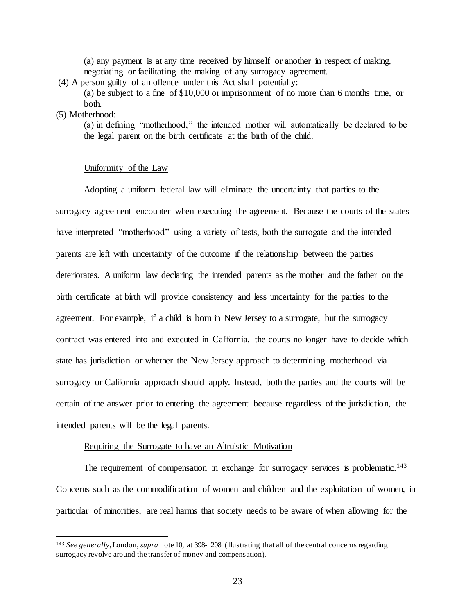(a) any payment is at any time received by himself or another in respect of making, negotiating or facilitating the making of any surrogacy agreement.

(4) A person guilty of an offence under this Act shall potentially:

(a) be subject to a fine of \$10,000 or imprisonment of no more than 6 months time, or both.

# (5) Motherhood:

l

(a) in defining "motherhood," the intended mother will automatically be declared to be the legal parent on the birth certificate at the birth of the child.

#### Uniformity of the Law

Adopting a uniform federal law will eliminate the uncertainty that parties to the surrogacy agreement encounter when executing the agreement. Because the courts of the states have interpreted "motherhood" using a variety of tests, both the surrogate and the intended parents are left with uncertainty of the outcome if the relationship between the parties deteriorates. A uniform law declaring the intended parents as the mother and the father on the birth certificate at birth will provide consistency and less uncertainty for the parties to the agreement. For example, if a child is born in New Jersey to a surrogate, but the surrogacy contract was entered into and executed in California, the courts no longer have to decide which state has jurisdiction or whether the New Jersey approach to determining motherhood via surrogacy or California approach should apply. Instead, both the parties and the courts will be certain of the answer prior to entering the agreement because regardless of the jurisdiction, the intended parents will be the legal parents.

#### Requiring the Surrogate to have an Altruistic Motivation

The requirement of compensation in exchange for surrogacy services is problematic.<sup>143</sup> Concerns such as the commodification of women and children and the exploitation of women, in particular of minorities, are real harms that society needs to be aware of when allowing for the

<sup>143</sup> *See generally*, London, *supra* note 10, at 398- 208 (illustrating that all of the central concerns regarding surrogacy revolve around the transfer of money and compensation).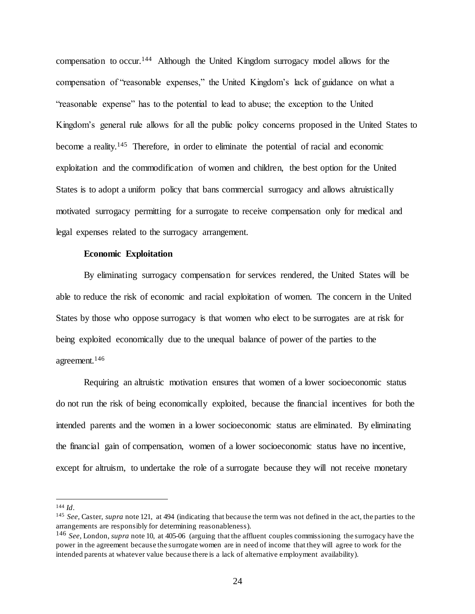compensation to occur.<sup>144</sup> Although the United Kingdom surrogacy model allows for the compensation of "reasonable expenses," the United Kingdom's lack of guidance on what a "reasonable expense" has to the potential to lead to abuse; the exception to the United Kingdom's general rule allows for all the public policy concerns proposed in the United States to become a reality.<sup>145</sup> Therefore, in order to eliminate the potential of racial and economic exploitation and the commodification of women and children, the best option for the United States is to adopt a uniform policy that bans commercial surrogacy and allows altruistically motivated surrogacy permitting for a surrogate to receive compensation only for medical and legal expenses related to the surrogacy arrangement.

#### **Economic Exploitation**

By eliminating surrogacy compensation for services rendered, the United States will be able to reduce the risk of economic and racial exploitation of women. The concern in the United States by those who oppose surrogacy is that women who elect to be surrogates are at risk for being exploited economically due to the unequal balance of power of the parties to the agreement.<sup>146</sup>

Requiring an altruistic motivation ensures that women of a lower socioeconomic status do not run the risk of being economically exploited, because the financial incentives for both the intended parents and the women in a lower socioeconomic status are eliminated. By eliminating the financial gain of compensation, women of a lower socioeconomic status have no incentive, except for altruism, to undertake the role of a surrogate because they will not receive monetary

<sup>144</sup> *Id*.

<sup>145</sup> *See,* Caster, *supra* note 121, at 494 (indicating that because the term was not defined in the act, the parties to the arrangements are responsibly for determining reasonableness).

<sup>146</sup> *See*, London, *supra* note 10, at 405-06 (arguing that the affluent couples commissioning the surrogacy have the power in the agreement because the surrogate women are in need of income that they will agree to work for the intended parents at whatever value because there is a lack of alternative employment availability).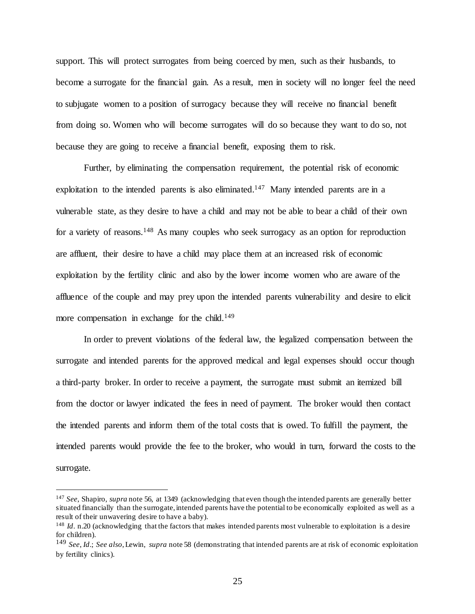support. This will protect surrogates from being coerced by men, such as their husbands, to become a surrogate for the financial gain. As a result, men in society will no longer feel the need to subjugate women to a position of surrogacy because they will receive no financial benefit from doing so. Women who will become surrogates will do so because they want to do so, not because they are going to receive a financial benefit, exposing them to risk.

Further, by eliminating the compensation requirement, the potential risk of economic exploitation to the intended parents is also eliminated.<sup>147</sup> Many intended parents are in a vulnerable state, as they desire to have a child and may not be able to bear a child of their own for a variety of reasons.<sup>148</sup> As many couples who seek surrogacy as an option for reproduction are affluent, their desire to have a child may place them at an increased risk of economic exploitation by the fertility clinic and also by the lower income women who are aware of the affluence of the couple and may prey upon the intended parents vulnerability and desire to elicit more compensation in exchange for the child.<sup>149</sup>

In order to prevent violations of the federal law, the legalized compensation between the surrogate and intended parents for the approved medical and legal expenses should occur though a third-party broker. In order to receive a payment, the surrogate must submit an itemized bill from the doctor or lawyer indicated the fees in need of payment. The broker would then contact the intended parents and inform them of the total costs that is owed. To fulfill the payment, the intended parents would provide the fee to the broker, who would in turn, forward the costs to the surrogate.

<sup>147</sup> *See*, Shapiro, *supra* note 56, at 1349 (acknowledging that even though the intended parents are generally better situated financially than the surrogate, intended parents have the potential to be economically exploited as well as a result of their unwavering desire to have a baby).

<sup>&</sup>lt;sup>148</sup> *Id.* n.20 (acknowledging that the factors that makes intended parents most vulnerable to exploitation is a desire for children).

<sup>149</sup> *See*, *Id*.; *See also*, Lewin, *supra* note 58 (demonstrating that intended parents are at risk of economic exploitation by fertility clinics).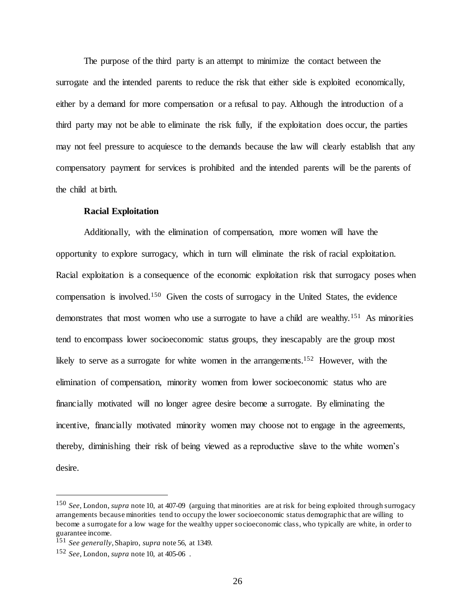The purpose of the third party is an attempt to minimize the contact between the surrogate and the intended parents to reduce the risk that either side is exploited economically, either by a demand for more compensation or a refusal to pay. Although the introduction of a third party may not be able to eliminate the risk fully, if the exploitation does occur, the parties may not feel pressure to acquiesce to the demands because the law will clearly establish that any compensatory payment for services is prohibited and the intended parents will be the parents of the child at birth.

## **Racial Exploitation**

Additionally, with the elimination of compensation, more women will have the opportunity to explore surrogacy, which in turn will eliminate the risk of racial exploitation. Racial exploitation is a consequence of the economic exploitation risk that surrogacy poses when compensation is involved.<sup>150</sup> Given the costs of surrogacy in the United States, the evidence demonstrates that most women who use a surrogate to have a child are wealthy.<sup>151</sup> As minorities tend to encompass lower socioeconomic status groups, they inescapably are the group most likely to serve as a surrogate for white women in the arrangements.<sup>152</sup> However, with the elimination of compensation, minority women from lower socioeconomic status who are financially motivated will no longer agree desire become a surrogate. By eliminating the incentive, financially motivated minority women may choose not to engage in the agreements, thereby, diminishing their risk of being viewed as a reproductive slave to the white women's desire.

<sup>150</sup> *See*, London, *supra* note 10, at 407-09 (arguing that minorities are at risk for being exploited through surrogacy arrangements because minorities tend to occupy the lower socioeconomic status demographic that are willing to become a surrogate for a low wage for the wealthy upper socioeconomic class, who typically are white, in order to guarantee income.

<sup>151</sup> *See generally*, Shapiro, *supra* note 56, at 1349.

<sup>152</sup> *See*, London, *supra* note 10, at 405-06 .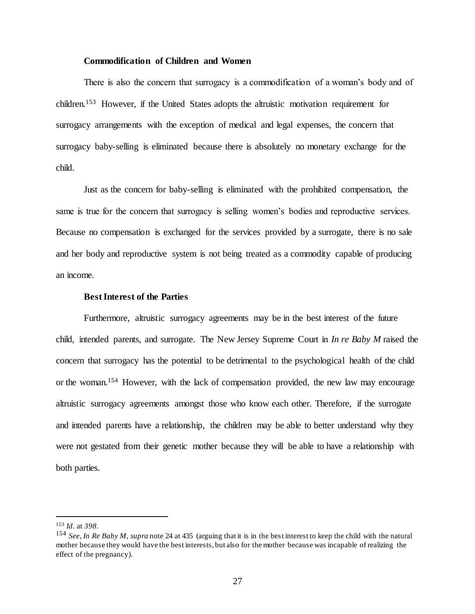# **Commodification of Children and Women**

There is also the concern that surrogacy is a commodification of a woman's body and of children.<sup>153</sup> However, if the United States adopts the altruistic motivation requirement for surrogacy arrangements with the exception of medical and legal expenses, the concern that surrogacy baby-selling is eliminated because there is absolutely no monetary exchange for the child.

Just as the concern for baby-selling is eliminated with the prohibited compensation, the same is true for the concern that surrogacy is selling women's bodies and reproductive services. Because no compensation is exchanged for the services provided by a surrogate, there is no sale and her body and reproductive system is not being treated as a commodity capable of producing an income.

# **Best Interest of the Parties**

Furthermore, altruistic surrogacy agreements may be in the best interest of the future child, intended parents, and surrogate. The New Jersey Supreme Court in *In re Baby M* raised the concern that surrogacy has the potential to be detrimental to the psychological health of the child or the woman. <sup>154</sup> However, with the lack of compensation provided, the new law may encourage altruistic surrogacy agreements amongst those who know each other. Therefore, if the surrogate and intended parents have a relationship, the children may be able to better understand why they were not gestated from their genetic mother because they will be able to have a relationship with both parties.

<sup>153</sup> *Id*. at *398.*

<sup>154</sup> *See*, *In Re Baby M*, *supra* note 24 at 435 (arguing that it is in the best interest to keep the child with the natural mother because they would have the best interests, but also for the mother because was incapable of realizing the effect of the pregnancy).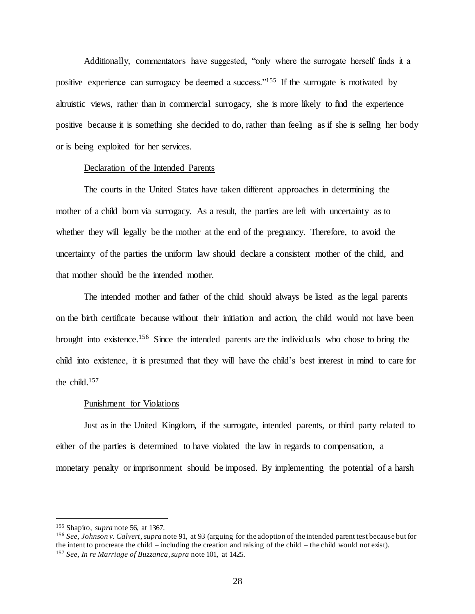Additionally, commentators have suggested, "only where the surrogate herself finds it a positive experience can surrogacy be deemed a success."<sup>155</sup> If the surrogate is motivated by altruistic views, rather than in commercial surrogacy, she is more likely to find the experience positive because it is something she decided to do, rather than feeling as if she is selling her body or is being exploited for her services.

#### Declaration of the Intended Parents

The courts in the United States have taken different approaches in determining the mother of a child born via surrogacy. As a result, the parties are left with uncertainty as to whether they will legally be the mother at the end of the pregnancy. Therefore, to avoid the uncertainty of the parties the uniform law should declare a consistent mother of the child, and that mother should be the intended mother.

The intended mother and father of the child should always be listed as the legal parents on the birth certificate because without their initiation and action, the child would not have been brought into existence.<sup>156</sup> Since the intended parents are the individuals who chose to bring the child into existence, it is presumed that they will have the child's best interest in mind to care for the child.<sup>157</sup>

#### Punishment for Violations

Just as in the United Kingdom, if the surrogate, intended parents, or third party related to either of the parties is determined to have violated the law in regards to compensation, a monetary penalty or imprisonment should be imposed. By implementing the potential of a harsh

<sup>155</sup> Shapiro, *supra* note 56, at 1367.

<sup>156</sup> *See*, *Johnson v. Calvert*, *supra* note 91, at 93 (arguing for the adoption of the intended parent test because but for the intent to procreate the child – including the creation and raising of the child – the child would not exist). <sup>157</sup> *See*, *In re Marriage of Buzzanca*, *supra* note 101, at 1425.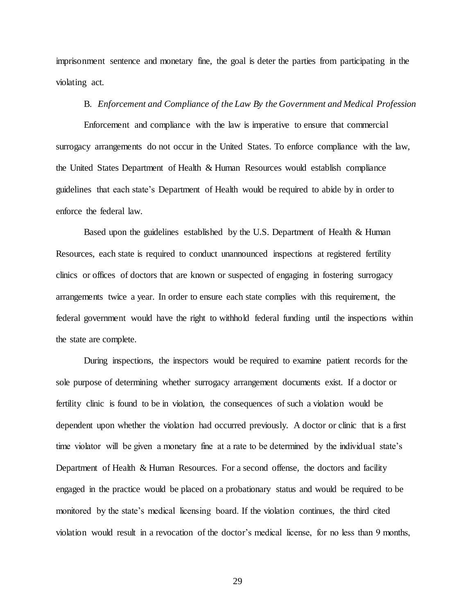imprisonment sentence and monetary fine, the goal is deter the parties from participating in the violating act.

# B. *Enforcement and Compliance of the Law By the Government and Medical Profession*

Enforcement and compliance with the law is imperative to ensure that commercial surrogacy arrangements do not occur in the United States. To enforce compliance with the law, the United States Department of Health & Human Resources would establish compliance guidelines that each state's Department of Health would be required to abide by in order to enforce the federal law.

Based upon the guidelines established by the U.S. Department of Health & Human Resources, each state is required to conduct unannounced inspections at registered fertility clinics or offices of doctors that are known or suspected of engaging in fostering surrogacy arrangements twice a year. In order to ensure each state complies with this requirement, the federal government would have the right to withhold federal funding until the inspections within the state are complete.

During inspections, the inspectors would be required to examine patient records for the sole purpose of determining whether surrogacy arrangement documents exist. If a doctor or fertility clinic is found to be in violation, the consequences of such a violation would be dependent upon whether the violation had occurred previously. A doctor or clinic that is a first time violator will be given a monetary fine at a rate to be determined by the individual state's Department of Health & Human Resources. For a second offense, the doctors and facility engaged in the practice would be placed on a probationary status and would be required to be monitored by the state's medical licensing board. If the violation continues, the third cited violation would result in a revocation of the doctor's medical license, for no less than 9 months,

29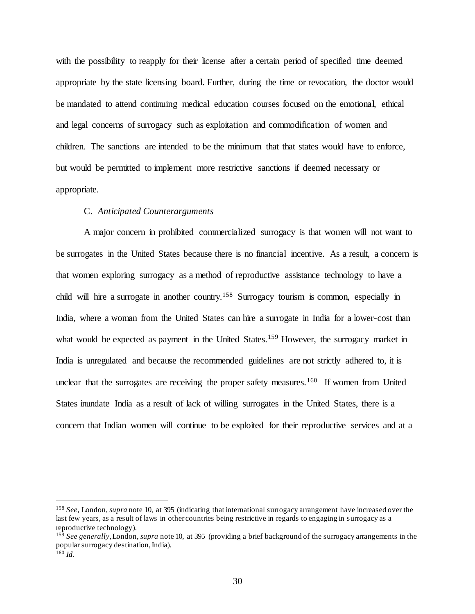with the possibility to reapply for their license after a certain period of specified time deemed appropriate by the state licensing board. Further, during the time or revocation, the doctor would be mandated to attend continuing medical education courses focused on the emotional, ethical and legal concerns of surrogacy such as exploitation and commodification of women and children. The sanctions are intended to be the minimum that that states would have to enforce, but would be permitted to implement more restrictive sanctions if deemed necessary or appropriate.

## C. *Anticipated Counterarguments*

A major concern in prohibited commercialized surrogacy is that women will not want to be surrogates in the United States because there is no financial incentive. As a result, a concern is that women exploring surrogacy as a method of reproductive assistance technology to have a child will hire a surrogate in another country.<sup>158</sup> Surrogacy tourism is common, especially in India, where a woman from the United States can hire a surrogate in India for a lower-cost than what would be expected as payment in the United States.<sup>159</sup> However, the surrogacy market in India is unregulated and because the recommended guidelines are not strictly adhered to, it is unclear that the surrogates are receiving the proper safety measures.<sup>160</sup> If women from United States inundate India as a result of lack of willing surrogates in the United States, there is a concern that Indian women will continue to be exploited for their reproductive services and at a

<sup>158</sup> *See*, London, *supra* note 10, at 395 (indicating that international surrogacy arrangement have increased over the last few years, as a result of laws in other countries being restrictive in regards to engaging in surrogacy as a reproductive technology).

<sup>159</sup> *See generally*, London, *supra* note 10, at 395 (providing a brief background of the surrogacy arrangements in the popular surrogacy destination, India).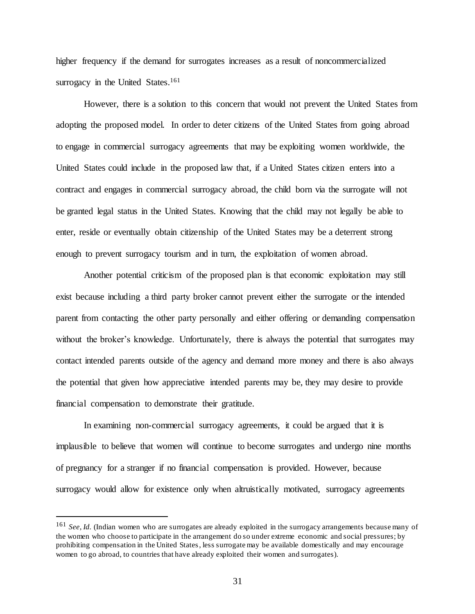higher frequency if the demand for surrogates increases as a result of noncommercialized surrogacy in the United States.<sup>161</sup>

However, there is a solution to this concern that would not prevent the United States from adopting the proposed model. In order to deter citizens of the United States from going abroad to engage in commercial surrogacy agreements that may be exploiting women worldwide, the United States could include in the proposed law that, if a United States citizen enters into a contract and engages in commercial surrogacy abroad, the child born via the surrogate will not be granted legal status in the United States. Knowing that the child may not legally be able to enter, reside or eventually obtain citizenship of the United States may be a deterrent strong enough to prevent surrogacy tourism and in turn, the exploitation of women abroad.

Another potential criticism of the proposed plan is that economic exploitation may still exist because including a third party broker cannot prevent either the surrogate or the intended parent from contacting the other party personally and either offering or demanding compensation without the broker's knowledge. Unfortunately, there is always the potential that surrogates may contact intended parents outside of the agency and demand more money and there is also always the potential that given how appreciative intended parents may be, they may desire to provide financial compensation to demonstrate their gratitude.

In examining non-commercial surrogacy agreements, it could be argued that it is implausible to believe that women will continue to become surrogates and undergo nine months of pregnancy for a stranger if no financial compensation is provided. However, because surrogacy would allow for existence only when altruistically motivated, surrogacy agreements

<sup>161</sup> *See*, *Id.* (Indian women who are surrogates are already exploited in the surrogacy arrangements because many of the women who choose to participate in the arrangement do so under extreme economic and social pressures; by prohibiting compensation in the United States, less surrogate may be available domestically and may encourage women to go abroad, to countries that have already exploited their women and surrogates).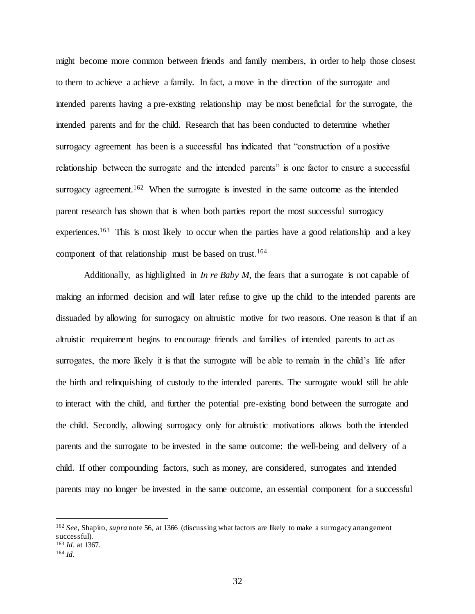might become more common between friends and family members, in order to help those closest to them to achieve a achieve a family. In fact, a move in the direction of the surrogate and intended parents having a pre-existing relationship may be most beneficial for the surrogate, the intended parents and for the child. Research that has been conducted to determine whether surrogacy agreement has been is a successful has indicated that "construction of a positive relationship between the surrogate and the intended parents" is one factor to ensure a successful surrogacy agreement.<sup>162</sup> When the surrogate is invested in the same outcome as the intended parent research has shown that is when both parties report the most successful surrogacy experiences.<sup>163</sup> This is most likely to occur when the parties have a good relationship and a key component of that relationship must be based on trust.<sup>164</sup>

Additionally, as highlighted in *In re Baby M*, the fears that a surrogate is not capable of making an informed decision and will later refuse to give up the child to the intended parents are dissuaded by allowing for surrogacy on altruistic motive for two reasons. One reason is that if an altruistic requirement begins to encourage friends and families of intended parents to act as surrogates, the more likely it is that the surrogate will be able to remain in the child's life after the birth and relinquishing of custody to the intended parents. The surrogate would still be able to interact with the child, and further the potential pre-existing bond between the surrogate and the child. Secondly, allowing surrogacy only for altruistic motivations allows both the intended parents and the surrogate to be invested in the same outcome: the well-being and delivery of a child. If other compounding factors, such as money, are considered, surrogates and intended parents may no longer be invested in the same outcome, an essential component for a successful

<sup>162</sup> *See,* Shapiro, *supra* note 56, at 1366 (discussing what factors are likely to make a surrogacy arrangement successful). <sup>163</sup> *Id*. at 1367.

<sup>164</sup> *Id*.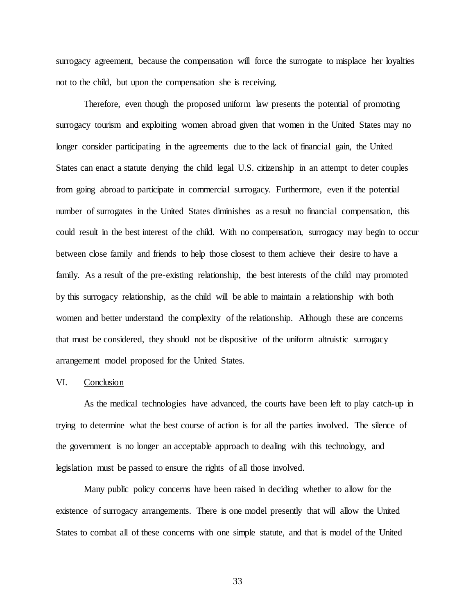surrogacy agreement, because the compensation will force the surrogate to misplace her loyalties not to the child, but upon the compensation she is receiving.

Therefore, even though the proposed uniform law presents the potential of promoting surrogacy tourism and exploiting women abroad given that women in the United States may no longer consider participating in the agreements due to the lack of financial gain, the United States can enact a statute denying the child legal U.S. citizenship in an attempt to deter couples from going abroad to participate in commercial surrogacy. Furthermore, even if the potential number of surrogates in the United States diminishes as a result no financial compensation, this could result in the best interest of the child. With no compensation, surrogacy may begin to occur between close family and friends to help those closest to them achieve their desire to have a family. As a result of the pre-existing relationship, the best interests of the child may promoted by this surrogacy relationship, as the child will be able to maintain a relationship with both women and better understand the complexity of the relationship. Although these are concerns that must be considered, they should not be dispositive of the uniform altruistic surrogacy arrangement model proposed for the United States.

#### VI. Conclusion

As the medical technologies have advanced, the courts have been left to play catch-up in trying to determine what the best course of action is for all the parties involved. The silence of the government is no longer an acceptable approach to dealing with this technology, and legislation must be passed to ensure the rights of all those involved.

Many public policy concerns have been raised in deciding whether to allow for the existence of surrogacy arrangements. There is one model presently that will allow the United States to combat all of these concerns with one simple statute, and that is model of the United

33